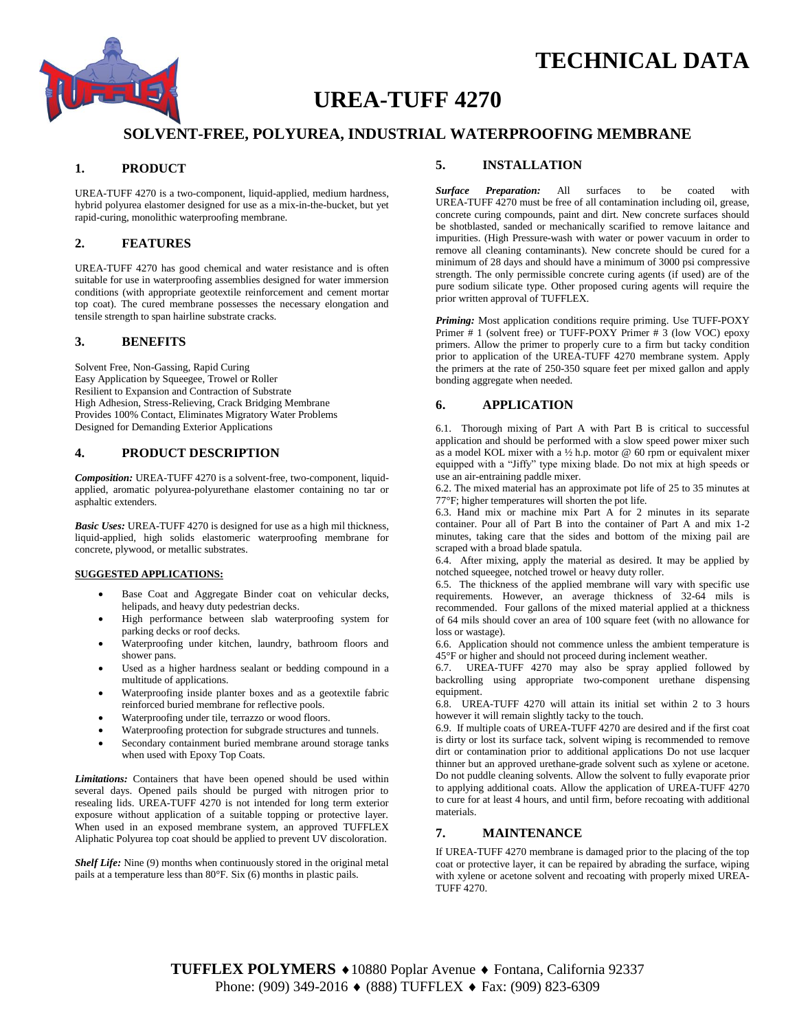



# **UREA-TUFF 4270**

# **SOLVENT-FREE, POLYUREA, INDUSTRIAL WATERPROOFING MEMBRANE**

# **1. PRODUCT**

UREA-TUFF 4270 is a two-component, liquid-applied, medium hardness, hybrid polyurea elastomer designed for use as a mix-in-the-bucket, but yet rapid-curing, monolithic waterproofing membrane.

## **2. FEATURES**

UREA-TUFF 4270 has good chemical and water resistance and is often suitable for use in waterproofing assemblies designed for water immersion conditions (with appropriate geotextile reinforcement and cement mortar top coat). The cured membrane possesses the necessary elongation and tensile strength to span hairline substrate cracks.

## **3. BENEFITS**

Solvent Free, Non-Gassing, Rapid Curing Easy Application by Squeegee, Trowel or Roller Resilient to Expansion and Contraction of Substrate High Adhesion, Stress-Relieving, Crack Bridging Membrane Provides 100% Contact, Eliminates Migratory Water Problems Designed for Demanding Exterior Applications

#### **4. PRODUCT DESCRIPTION**

*Composition:* UREA-TUFF 4270 is a solvent-free, two-component, liquidapplied, aromatic polyurea-polyurethane elastomer containing no tar or asphaltic extenders.

*Basic Uses:* UREA-TUFF 4270 is designed for use as a high mil thickness, liquid-applied, high solids elastomeric waterproofing membrane for concrete, plywood, or metallic substrates.

#### **SUGGESTED APPLICATIONS:**

- Base Coat and Aggregate Binder coat on vehicular decks, helipads, and heavy duty pedestrian decks.
- High performance between slab waterproofing system for parking decks or roof decks.
- Waterproofing under kitchen, laundry, bathroom floors and shower pans.
- Used as a higher hardness sealant or bedding compound in a multitude of applications.
- Waterproofing inside planter boxes and as a geotextile fabric reinforced buried membrane for reflective pools.
- Waterproofing under tile, terrazzo or wood floors.
- Waterproofing protection for subgrade structures and tunnels.
- Secondary containment buried membrane around storage tanks when used with Epoxy Top Coats.

*Limitations:* Containers that have been opened should be used within several days. Opened pails should be purged with nitrogen prior to resealing lids. UREA-TUFF 4270 is not intended for long term exterior exposure without application of a suitable topping or protective layer. When used in an exposed membrane system, an approved TUFFLEX Aliphatic Polyurea top coat should be applied to prevent UV discoloration.

*Shelf Life:* Nine (9) months when continuously stored in the original metal pails at a temperature less than 80°F. Six (6) months in plastic pails.

## **5. INSTALLATION**

*Surface Preparation:* All surfaces to be coated with UREA-TUFF 4270 must be free of all contamination including oil, grease, concrete curing compounds, paint and dirt. New concrete surfaces should be shotblasted, sanded or mechanically scarified to remove laitance and impurities. (High Pressure-wash with water or power vacuum in order to remove all cleaning contaminants). New concrete should be cured for a minimum of 28 days and should have a minimum of 3000 psi compressive strength. The only permissible concrete curing agents (if used) are of the pure sodium silicate type. Other proposed curing agents will require the prior written approval of TUFFLEX.

*Priming:* Most application conditions require priming. Use TUFF-POXY Primer # 1 (solvent free) or TUFF-POXY Primer # 3 (low VOC) epoxy primers. Allow the primer to properly cure to a firm but tacky condition prior to application of the UREA-TUFF 4270 membrane system. Apply the primers at the rate of 250-350 square feet per mixed gallon and apply bonding aggregate when needed.

## **6. APPLICATION**

6.1. Thorough mixing of Part A with Part B is critical to successful application and should be performed with a slow speed power mixer such as a model KOL mixer with a  $\frac{1}{2}$  h.p. motor @ 60 rpm or equivalent mixer equipped with a "Jiffy" type mixing blade. Do not mix at high speeds or use an air-entraining paddle mixer.

6.2. The mixed material has an approximate pot life of 25 to 35 minutes at 77°F; higher temperatures will shorten the pot life.

6.3. Hand mix or machine mix Part A for 2 minutes in its separate container. Pour all of Part B into the container of Part A and mix 1-2 minutes, taking care that the sides and bottom of the mixing pail are scraped with a broad blade spatula.

6.4. After mixing, apply the material as desired. It may be applied by notched squeegee, notched trowel or heavy duty roller.

6.5. The thickness of the applied membrane will vary with specific use requirements. However, an average thickness of 32-64 mils is recommended. Four gallons of the mixed material applied at a thickness of 64 mils should cover an area of 100 square feet (with no allowance for loss or wastage).

6.6. Application should not commence unless the ambient temperature is 45°F or higher and should not proceed during inclement weather.

6.7. UREA-TUFF 4270 may also be spray applied followed by backrolling using appropriate two-component urethane dispensing equipment.

6.8. UREA-TUFF 4270 will attain its initial set within 2 to 3 hours however it will remain slightly tacky to the touch.

6.9. If multiple coats of UREA-TUFF 4270 are desired and if the first coat is dirty or lost its surface tack, solvent wiping is recommended to remove dirt or contamination prior to additional applications Do not use lacquer thinner but an approved urethane-grade solvent such as xylene or acetone. Do not puddle cleaning solvents. Allow the solvent to fully evaporate prior to applying additional coats. Allow the application of UREA-TUFF 4270 to cure for at least 4 hours, and until firm, before recoating with additional materials.

# **7. MAINTENANCE**

If UREA-TUFF 4270 membrane is damaged prior to the placing of the top coat or protective layer, it can be repaired by abrading the surface, wiping with xylene or acetone solvent and recoating with properly mixed UREA-TUFF 4270.